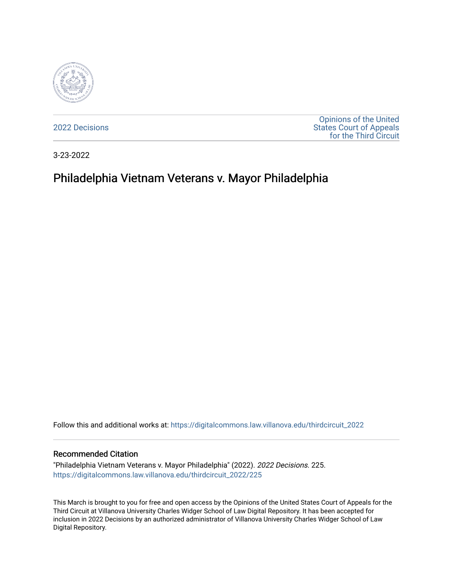

[2022 Decisions](https://digitalcommons.law.villanova.edu/thirdcircuit_2022)

[Opinions of the United](https://digitalcommons.law.villanova.edu/thirdcircuit)  [States Court of Appeals](https://digitalcommons.law.villanova.edu/thirdcircuit)  [for the Third Circuit](https://digitalcommons.law.villanova.edu/thirdcircuit) 

3-23-2022

# Philadelphia Vietnam Veterans v. Mayor Philadelphia

Follow this and additional works at: [https://digitalcommons.law.villanova.edu/thirdcircuit\\_2022](https://digitalcommons.law.villanova.edu/thirdcircuit_2022?utm_source=digitalcommons.law.villanova.edu%2Fthirdcircuit_2022%2F225&utm_medium=PDF&utm_campaign=PDFCoverPages) 

#### Recommended Citation

"Philadelphia Vietnam Veterans v. Mayor Philadelphia" (2022). 2022 Decisions. 225. [https://digitalcommons.law.villanova.edu/thirdcircuit\\_2022/225](https://digitalcommons.law.villanova.edu/thirdcircuit_2022/225?utm_source=digitalcommons.law.villanova.edu%2Fthirdcircuit_2022%2F225&utm_medium=PDF&utm_campaign=PDFCoverPages)

This March is brought to you for free and open access by the Opinions of the United States Court of Appeals for the Third Circuit at Villanova University Charles Widger School of Law Digital Repository. It has been accepted for inclusion in 2022 Decisions by an authorized administrator of Villanova University Charles Widger School of Law Digital Repository.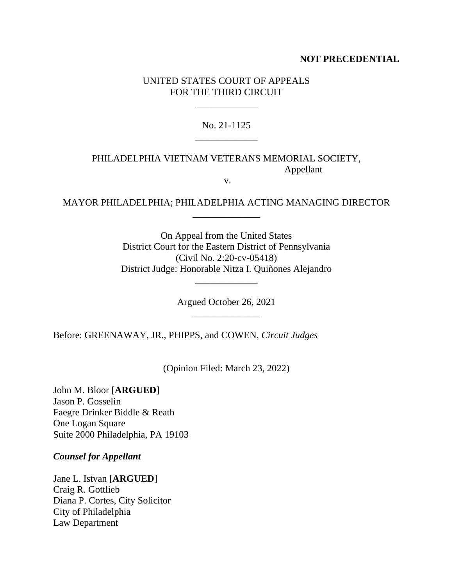## **NOT PRECEDENTIAL**

## UNITED STATES COURT OF APPEALS FOR THE THIRD CIRCUIT

\_\_\_\_\_\_\_\_\_\_\_\_\_

## No. 21-1125 \_\_\_\_\_\_\_\_\_\_\_\_\_

## PHILADELPHIA VIETNAM VETERANS MEMORIAL SOCIETY, Appellant

v.

## MAYOR PHILADELPHIA; PHILADELPHIA ACTING MANAGING DIRECTOR \_\_\_\_\_\_\_\_\_\_\_\_\_\_

On Appeal from the United States District Court for the Eastern District of Pennsylvania (Civil No. 2:20-cv-05418) District Judge: Honorable Nitza I. Quiñones Alejandro

> Argued October 26, 2021 \_\_\_\_\_\_\_\_\_\_\_\_\_\_

\_\_\_\_\_\_\_\_\_\_\_\_\_

Before: GREENAWAY, JR., PHIPPS, and COWEN, *Circuit Judges*

(Opinion Filed: March 23, 2022)

John M. Bloor [**ARGUED**] Jason P. Gosselin Faegre Drinker Biddle & Reath One Logan Square Suite 2000 Philadelphia, PA 19103

*Counsel for Appellant*

Jane L. Istvan [**ARGUED**] Craig R. Gottlieb Diana P. Cortes, City Solicitor City of Philadelphia Law Department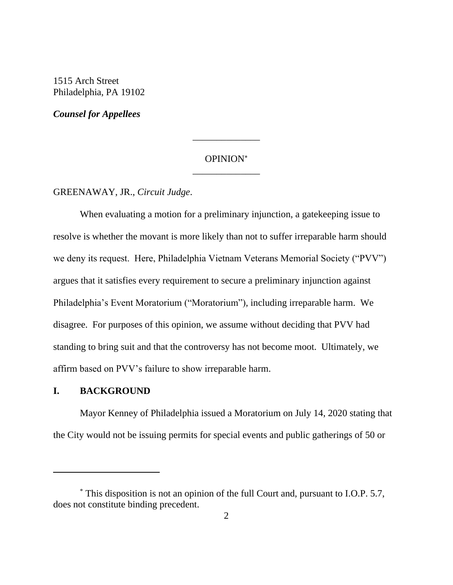1515 Arch Street Philadelphia, PA 19102

*Counsel for Appellees*

#### OPINION \_\_\_\_\_\_\_\_\_\_\_\_\_\_

\_\_\_\_\_\_\_\_\_\_\_\_\_\_

GREENAWAY, JR., *Circuit Judge*.

When evaluating a motion for a preliminary injunction, a gatekeeping issue to resolve is whether the movant is more likely than not to suffer irreparable harm should we deny its request. Here, Philadelphia Vietnam Veterans Memorial Society ("PVV") argues that it satisfies every requirement to secure a preliminary injunction against Philadelphia's Event Moratorium ("Moratorium"), including irreparable harm. We disagree. For purposes of this opinion, we assume without deciding that PVV had standing to bring suit and that the controversy has not become moot. Ultimately, we affirm based on PVV's failure to show irreparable harm.

#### **I. BACKGROUND**

Mayor Kenney of Philadelphia issued a Moratorium on July 14, 2020 stating that the City would not be issuing permits for special events and public gatherings of 50 or

<sup>\*</sup> This disposition is not an opinion of the full Court and, pursuant to I.O.P. 5.7, does not constitute binding precedent.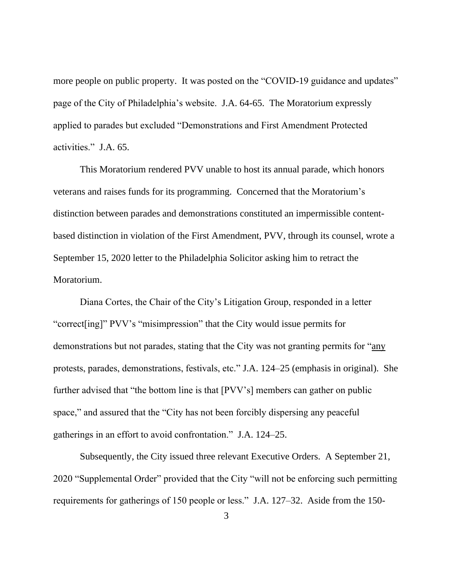more people on public property. It was posted on the "COVID-19 guidance and updates" page of the City of Philadelphia's website. J.A. 64-65.The Moratorium expressly applied to parades but excluded "Demonstrations and First Amendment Protected activities."J.A. 65.

This Moratorium rendered PVV unable to host its annual parade, which honors veterans and raises funds for its programming. Concerned that the Moratorium's distinction between parades and demonstrations constituted an impermissible contentbased distinction in violation of the First Amendment, PVV, through its counsel, wrote a September 15, 2020 letter to the Philadelphia Solicitor asking him to retract the Moratorium.

Diana Cortes, the Chair of the City's Litigation Group, responded in a letter "correct[ing]" PVV's "misimpression" that the City would issue permits for demonstrations but not parades, stating that the City was not granting permits for "any protests, parades, demonstrations, festivals, etc." J.A. 124–25 (emphasis in original). She further advised that "the bottom line is that [PVV's] members can gather on public space," and assured that the "City has not been forcibly dispersing any peaceful gatherings in an effort to avoid confrontation." J.A. 124–25.

Subsequently, the City issued three relevant Executive Orders. A September 21, 2020 "Supplemental Order" provided that the City "will not be enforcing such permitting requirements for gatherings of 150 people or less." J.A. 127–32. Aside from the 150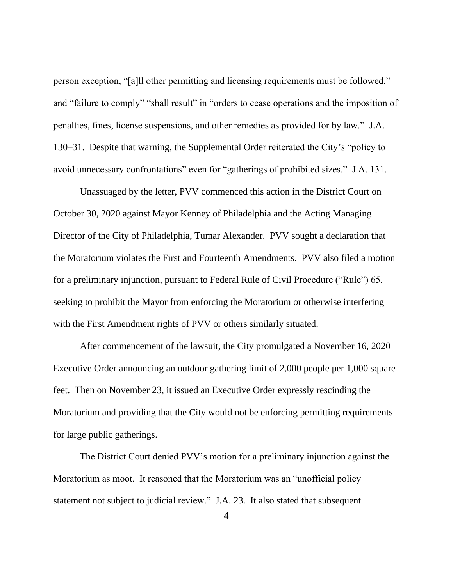person exception, "[a]ll other permitting and licensing requirements must be followed," and "failure to comply" "shall result" in "orders to cease operations and the imposition of penalties, fines, license suspensions, and other remedies as provided for by law." J.A. 130–31.Despite that warning, the Supplemental Order reiterated the City's "policy to avoid unnecessary confrontations" even for "gatherings of prohibited sizes." J.A. 131.

Unassuaged by the letter, PVV commenced this action in the District Court on October 30, 2020 against Mayor Kenney of Philadelphia and the Acting Managing Director of the City of Philadelphia, Tumar Alexander. PVV sought a declaration that the Moratorium violates the First and Fourteenth Amendments. PVV also filed a motion for a preliminary injunction, pursuant to Federal Rule of Civil Procedure ("Rule") 65, seeking to prohibit the Mayor from enforcing the Moratorium or otherwise interfering with the First Amendment rights of PVV or others similarly situated.

After commencement of the lawsuit, the City promulgated a November 16, 2020 Executive Order announcing an outdoor gathering limit of 2,000 people per 1,000 square feet. Then on November 23, it issued an Executive Order expressly rescinding the Moratorium and providing that the City would not be enforcing permitting requirements for large public gatherings.

The District Court denied PVV's motion for a preliminary injunction against the Moratorium as moot. It reasoned that the Moratorium was an "unofficial policy statement not subject to judicial review." J.A. 23. It also stated that subsequent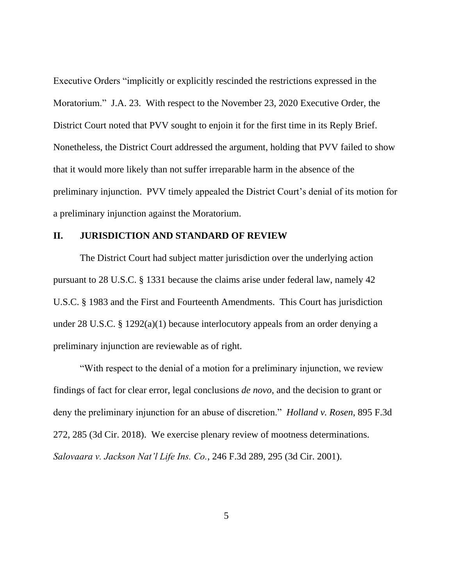Executive Orders "implicitly or explicitly rescinded the restrictions expressed in the Moratorium." J.A. 23. With respect to the November 23, 2020 Executive Order, the District Court noted that PVV sought to enjoin it for the first time in its Reply Brief. Nonetheless, the District Court addressed the argument, holding that PVV failed to show that it would more likely than not suffer irreparable harm in the absence of the preliminary injunction. PVV timely appealed the District Court's denial of its motion for a preliminary injunction against the Moratorium.

#### **II. JURISDICTION AND STANDARD OF REVIEW**

The District Court had subject matter jurisdiction over the underlying action pursuant to 28 U.S.C. § 1331 because the claims arise under federal law, namely 42 U.S.C. § 1983 and the First and Fourteenth Amendments. This Court has jurisdiction under 28 U.S.C. § 1292(a)(1) because interlocutory appeals from an order denying a preliminary injunction are reviewable as of right.

"With respect to the denial of a motion for a preliminary injunction, we review findings of fact for clear error, legal conclusions *de novo*, and the decision to grant or deny the preliminary injunction for an abuse of discretion." *Holland v. Rosen*, 895 F.3d 272, 285 (3d Cir. 2018). We exercise plenary review of mootness determinations. *Salovaara v. Jackson Nat'l Life Ins. Co.*, 246 F.3d 289, 295 (3d Cir. 2001).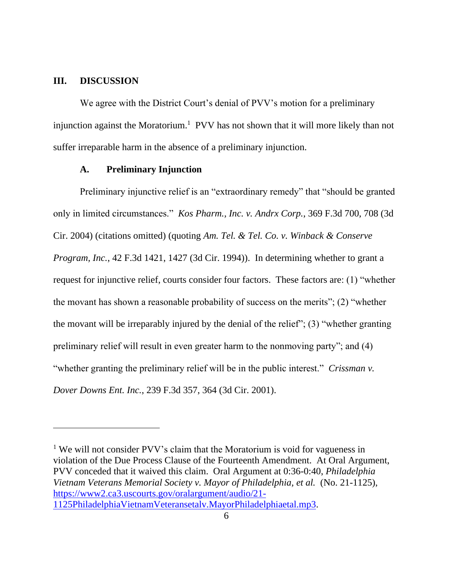#### **III. DISCUSSION**

We agree with the District Court's denial of PVV's motion for a preliminary injunction against the Moratorium.<sup>1</sup> PVV has not shown that it will more likely than not suffer irreparable harm in the absence of a preliminary injunction.

#### **A. Preliminary Injunction**

Preliminary injunctive relief is an "extraordinary remedy" that "should be granted only in limited circumstances." *Kos Pharm., Inc. v. Andrx Corp.*, 369 F.3d 700, 708 (3d Cir. 2004) (citations omitted) (quoting *Am. Tel. & Tel. Co. v. Winback & Conserve Program, Inc.*, 42 F.3d 1421, 1427 (3d Cir. 1994)). In determining whether to grant a request for injunctive relief, courts consider four factors. These factors are: (1) "whether the movant has shown a reasonable probability of success on the merits"; (2) "whether the movant will be irreparably injured by the denial of the relief"; (3) "whether granting preliminary relief will result in even greater harm to the nonmoving party"; and (4) "whether granting the preliminary relief will be in the public interest." *Crissman v. Dover Downs Ent. Inc.*, 239 F.3d 357, 364 (3d Cir. 2001).

<sup>&</sup>lt;sup>1</sup> We will not consider PVV's claim that the Moratorium is void for vagueness in violation of the Due Process Clause of the Fourteenth Amendment. At Oral Argument, PVV conceded that it waived this claim. Oral Argument at 0:36-0:40, *Philadelphia Vietnam Veterans Memorial Society v. Mayor of Philadelphia, et al. (No. 21-1125),* [https://www2.ca3.uscourts.gov/oralargument/audio/21-](https://www2.ca3.uscourts.gov/oralargument/audio/21-1125PhiladelphiaVietnamVeteransetalv.MayorPhiladelphiaetal.mp3) [1125PhiladelphiaVietnamVeteransetalv.MayorPhiladelphiaetal.mp3.](https://www2.ca3.uscourts.gov/oralargument/audio/21-1125PhiladelphiaVietnamVeteransetalv.MayorPhiladelphiaetal.mp3)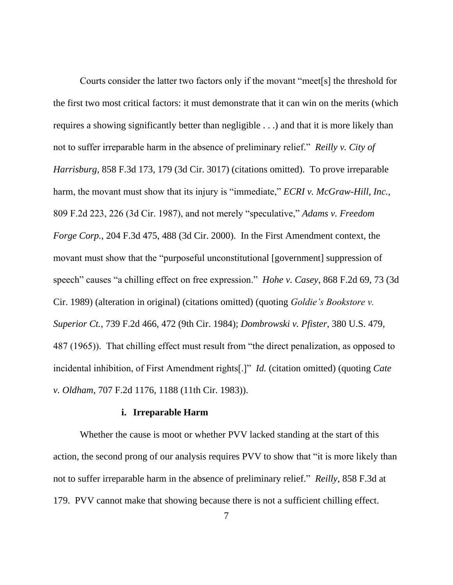Courts consider the latter two factors only if the movant "meet[s] the threshold for the first two most critical factors: it must demonstrate that it can win on the merits (which requires a showing significantly better than negligible . . .) and that it is more likely than not to suffer irreparable harm in the absence of preliminary relief." *Reilly v. City of Harrisburg*, 858 F.3d 173, 179 (3d Cir. 3017) (citations omitted). To prove irreparable harm, the movant must show that its injury is "immediate," *ECRI v. McGraw-Hill, Inc.*, 809 F.2d 223, 226 (3d Cir. 1987), and not merely "speculative," *Adams v. Freedom Forge Corp.*, 204 F.3d 475, 488 (3d Cir. 2000). In the First Amendment context, the movant must show that the "purposeful unconstitutional [government] suppression of speech" causes "a chilling effect on free expression." *Hohe v. Casey*, 868 F.2d 69, 73 (3d Cir. 1989) (alteration in original) (citations omitted) (quoting *Goldie's Bookstore v. Superior Ct.*, 739 F.2d 466, 472 (9th Cir. 1984); *Dombrowski v. Pfister*, 380 U.S. 479, 487 (1965)). That chilling effect must result from "the direct penalization, as opposed to incidental inhibition, of First Amendment rights[.]" *Id.* (citation omitted) (quoting *Cate v. Oldham*, 707 F.2d 1176, 1188 (11th Cir. 1983)).

#### **i. Irreparable Harm**

Whether the cause is moot or whether PVV lacked standing at the start of this action, the second prong of our analysis requires PVV to show that "it is more likely than not to suffer irreparable harm in the absence of preliminary relief." *Reilly*, 858 F.3d at 179. PVV cannot make that showing because there is not a sufficient chilling effect.